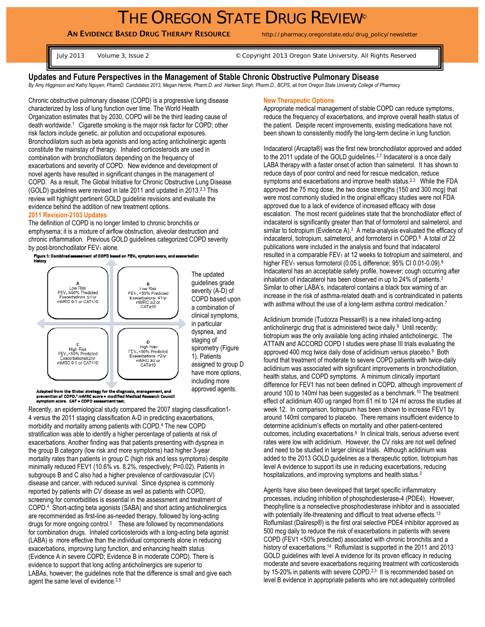# THE OREGON STATE DRUG REVIEW®

**AN EVIDENCE BASED DRUG THERAPY RESOURCE** http://pharmacy.oregonstate.edu/drug\_policy/newsletter

July 2013 Volume 3, Issue 2 © Copyright 2013 Oregon State University. All Rights Reserved

**Updates and Future Perspectives in the Management of Stable Chronic Obstructive Pulmonary Disease**  *By Amy Higginson and Kathy Nguyen, PharmD. Candidates 2013, Megan Herink, Pharm.D. and Harleen Singh, Pharm.D., BCPS, all from Oregon State University College of Pharmacy* 

Chronic obstructive pulmonary disease (COPD) is a progressive lung disease characterized by loss of lung function over time. The World Health Organization estimates that by 2030, COPD will be the third leading cause of death worldwide.1 Cigarette smoking is the major risk factor for COPD; other risk factors include genetic, air pollution and occupational exposures. Bronchodilators such as beta agonists and long acting anticholinergic agents constitute the mainstay of therapy. Inhaled corticosteroids are used in combination with bronchodilators depending on the frequency of exacerbations and severity of COPD. New evidence and development of novel agents have resulted in significant changes in the management of COPD. As a result, The Global Initiative for Chronic Obstructive Lung Disease (GOLD) guidelines were revised in late 2011 and updated in 2013.2,3 This review will highlight pertinent GOLD guideline revisions and evaluate the evidence behind the addition of new treatment options.

#### **2011 Revision-2103 Updates**

The definition of COPD is no longer limited to chronic bronchitis or emphysema; it is a mixture of airflow obstruction, alveolar destruction and chronic inflammation. Previous GOLD guidelines categorized COPD severity by post-bronchodilator  $\mathsf{FEV}_1$  alone.<br>Figure 1: Combined assessment of COPD based on  $\mathsf{FEV}_1$  symptom score, and exacerbation<br>history



severity (A-D) of COPD based upon a combination of clinical symptoms, spirometry (Figure assigned to group D have more options, approved agents.

Adapted from the Global strategy for the diagnosis, management, and nevention of COPD." mMRC score = modified Medical Research Council<br>symptom score. CAT = COPD assessment test.

Recently, an epidemiological study compared the 2007 staging classification1- 4 versus the 2011 staging classification A-D in predicting exacerbations, morbidity and mortality among patients with COPD.4 The new COPD stratification was able to identify a higher percentage of patients at risk of exacerbations. Another finding was that patients presenting with dyspnea in the group B category (low risk and more symptoms) had higher 3-year mortality rates than patients in group C (high risk and less symptoms) despite minimally reduced FEV1 (10.6% vs. 8.2%, respectively; P=0.02). Patients in subgroups B and C also had a higher prevalence of cardiovascular (CV) disease and cancer, with reduced survival. Since dyspnea is commonly reported by patients with CV disease as well as patients with COPD, screening for comorbidities is essential in the assessment and treatment of COPD.4 Short-acting beta agonists (SABA) and short acting anticholinergics are recommended as first-line as-needed therapy, followed by long-acting drugs for more ongoing control.3 These are followed by recommendations for combination drugs. Inhaled corticosteroids with a long-acting beta agonist (LABA) is more effective than the individual components alone in reducing exacerbations, improving lung function, and enhancing health status (Evidence A in severe COPD; Evidence B in moderate COPD). There is evidence to support that long acting anticholinergics are superior to LABAs, however; the guidelines note that the difference is small and give each agent the same level of evidence.<sup>2,5</sup>

#### **New Therapeutic Options**

Appropriate medical management of stable COPD can reduce symptoms, reduce the frequency of exacerbations, and improve overall health status of the patient. Despite recent improvements, existing medications have not been shown to consistently modify the long-term decline in lung function.

Indacaterol (Arcapta®) was the first new bronchodilator approved and added to the 2011 update of the GOLD guidelines.<sup>2,7</sup> Indacaterol is a once daily LABA therapy with a faster onset of action than salmeterol. It has shown to reduce days of poor control and need for rescue medication, reduce symptoms and exacerbations and improve health status.<sup>2,3</sup> While the FDA approved the 75 mcg dose, the two dose strengths (150 and 300 mcg) that were most commonly studied in the original efficacy studies were not FDA approved due to a lack of evidence of increased efficacy with dose escalation. The most recent guidelines state that the bronchodilator effect of indacaterol is significantly greater than that of formoterol and salmeterol, and similar to tiotropium (Evidence A).<sup>3</sup> A meta-analysis evaluated the efficacy of indacaterol, tiotropium, salmeterol, and formoterol in COPD.8 A total of 22 publications were included in the analysis and found that indacaterol resulted in a comparable  $FEV<sub>1</sub>$  at 12 weeks to tiotropium and salmeterol, and higher FEV<sub>1</sub> versus formoterol (0.05 L difference; 95% CI 0.01-0.09).<sup>8</sup> Indacaterol has an acceptable safety profile, however; cough occurring after inhalation of indacaterol has been observed in up to 24% of patients.3 Similar to other LABA's, indacaterol contains a black box warning of an increase in the risk of asthma-related death and is contraindicated in patients with asthma without the use of a long-term asthma control medication.<sup>7</sup>

Aclidinium bromide (Tudorza Pressair®) is a new inhaled long-acting anticholinergic drug that is administered twice daily.<sup>9</sup> Until recently; tiotropium was the only available long acting inhaled anticholinergic. The ATTAIN and ACCORD COPD I studies were phase III trials evaluating the approved 400 mcg twice daily dose of aclidinium versus placebo.<sup>9</sup> Both found that treatment of moderate to severe COPD patients with twice-daily aclidinium was associated with significant improvements in bronchodilation, health status, and COPD symptoms. A minimum clinically important difference for FEV1 has not been defined in COPD, although improvement of around 100 to 140ml has been suggested as a benchmark.10 The treatment effect of aclidinium 400 ug ranged from 61 ml to 124 ml across the studies at week 12. In comparison, tiotropium has been shown to increase FEV1 by around 140ml compared to placebo. There remains insufficient evidence to determine aclidinium's effects on mortality and other patient-centered outcomes, including exacerbations.<sup>9</sup> In clinical trials, serious adverse event rates were low with aclidinium. However, the CV risks are not well defined and need to be studied in larger clinical trials. Although aclidinium was added to the 2013 GOLD guidelines as a therapeutic option, tiotropium has level A evidence to support its use in reducing exacerbations, reducing hospitalizations, and improving symptoms and health status.<sup>3</sup>

Agents have also been developed that target specific inflammatory processes, including inhibition of phosphodiesterase-4 (PDE4). However, theophylline is a nonselective phosphodiesterase inhibitor and is associated with potentially life-threatening and difficult to treat adverse effects.<sup>13</sup> Roflumilast (Daliresp®) is the first oral selective PDE4 inhibitor approved as 500 mcg daily to reduce the risk of exacerbations in patients with severe COPD (FEV1 <50% predicted) associated with chronic bronchitis and a history of exacerbations.<sup>14</sup> Roflumilast is supported in the 2011 and 2013 GOLD guidelines with level A evidence for its proven efficacy in reducing moderate and severe exacerbations requiring treatment with corticosteroids by 15-20% in patients with severe COPD.<sup>2,3</sup> It is recommended based on level B evidence in appropriate patients who are not adequately controlled